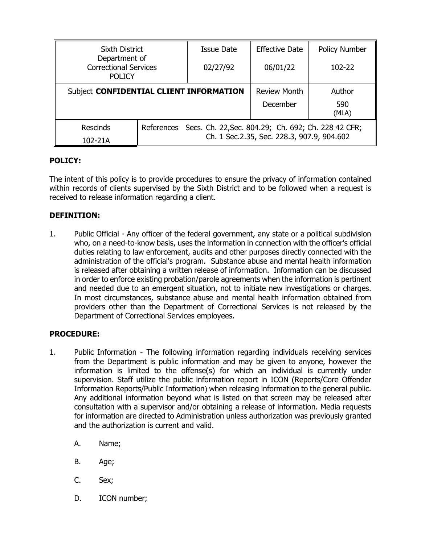| <b>Sixth District</b><br>Department of<br><b>Correctional Services</b><br><b>POLICY</b> |                                                                                                              | Issue Date | <b>Effective Date</b> | <b>Policy Number</b> |
|-----------------------------------------------------------------------------------------|--------------------------------------------------------------------------------------------------------------|------------|-----------------------|----------------------|
|                                                                                         |                                                                                                              | 02/27/92   | 06/01/22              | 102-22               |
| Subject CONFIDENTIAL CLIENT INFORMATION                                                 |                                                                                                              |            | <b>Review Month</b>   | Author               |
|                                                                                         |                                                                                                              |            | December              | 590<br>(MLA)         |
| <b>Rescinds</b><br>102-21A                                                              | References Secs. Ch. 22, Sec. 804.29; Ch. 692; Ch. 228 42 CFR;<br>Ch. 1 Sec.2.35, Sec. 228.3, 907.9, 904.602 |            |                       |                      |

## **POLICY:**

The intent of this policy is to provide procedures to ensure the privacy of information contained within records of clients supervised by the Sixth District and to be followed when a request is received to release information regarding a client.

# **DEFINITION:**

1. Public Official - Any officer of the federal government, any state or a political subdivision who, on a need-to-know basis, uses the information in connection with the officer's official duties relating to law enforcement, audits and other purposes directly connected with the administration of the official's program. Substance abuse and mental health information is released after obtaining a written release of information. Information can be discussed in order to enforce existing probation/parole agreements when the information is pertinent and needed due to an emergent situation, not to initiate new investigations or charges. In most circumstances, substance abuse and mental health information obtained from providers other than the Department of Correctional Services is not released by the Department of Correctional Services employees.

### **PROCEDURE:**

- 1. Public Information The following information regarding individuals receiving services from the Department is public information and may be given to anyone, however the information is limited to the offense(s) for which an individual is currently under supervision. Staff utilize the public information report in ICON (Reports/Core Offender Information Reports/Public Information) when releasing information to the general public. Any additional information beyond what is listed on that screen may be released after consultation with a supervisor and/or obtaining a release of information. Media requests for information are directed to Administration unless authorization was previously granted and the authorization is current and valid.
	- A. Name;
	- B. Age;
	- C. Sex;
	- D. ICON number;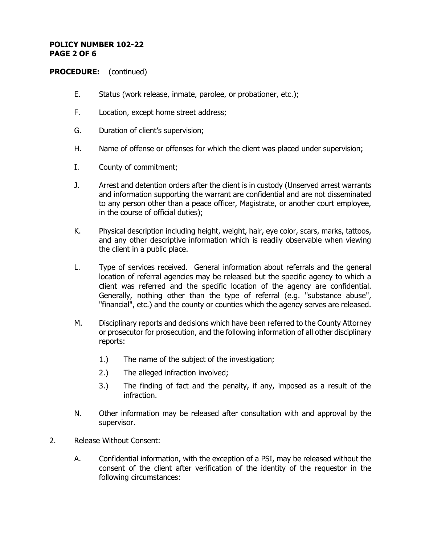#### **POLICY NUMBER 102-22 PAGE 2 OF 6**

- E. Status (work release, inmate, parolee, or probationer, etc.);
- F. Location, except home street address;
- G. Duration of client's supervision;
- H. Name of offense or offenses for which the client was placed under supervision;
- I. County of commitment;
- J. Arrest and detention orders after the client is in custody (Unserved arrest warrants and information supporting the warrant are confidential and are not disseminated to any person other than a peace officer, Magistrate, or another court employee, in the course of official duties);
- K. Physical description including height, weight, hair, eye color, scars, marks, tattoos, and any other descriptive information which is readily observable when viewing the client in a public place.
- L. Type of services received. General information about referrals and the general location of referral agencies may be released but the specific agency to which a client was referred and the specific location of the agency are confidential. Generally, nothing other than the type of referral (e.g. "substance abuse", "financial", etc.) and the county or counties which the agency serves are released.
- M. Disciplinary reports and decisions which have been referred to the County Attorney or prosecutor for prosecution, and the following information of all other disciplinary reports:
	- 1.) The name of the subject of the investigation;
	- 2.) The alleged infraction involved;
	- 3.) The finding of fact and the penalty, if any, imposed as a result of the infraction.
- N. Other information may be released after consultation with and approval by the supervisor.
- 2. Release Without Consent:
	- A. Confidential information, with the exception of a PSI, may be released without the consent of the client after verification of the identity of the requestor in the following circumstances: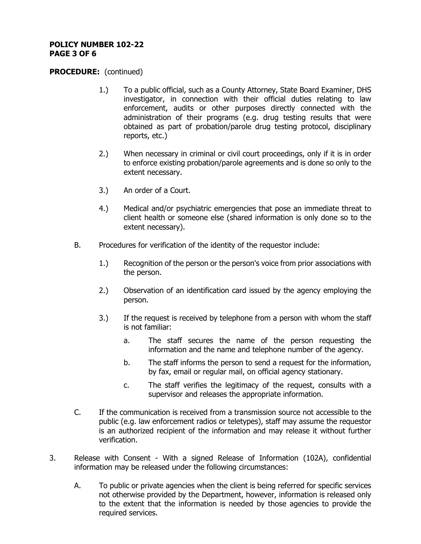#### **POLICY NUMBER 102-22 PAGE 3 OF 6**

- 1.) To a public official, such as a County Attorney, State Board Examiner, DHS investigator, in connection with their official duties relating to law enforcement, audits or other purposes directly connected with the administration of their programs (e.g. drug testing results that were obtained as part of probation/parole drug testing protocol, disciplinary reports, etc.)
- 2.) When necessary in criminal or civil court proceedings, only if it is in order to enforce existing probation/parole agreements and is done so only to the extent necessary.
- 3.) An order of a Court.
- 4.) Medical and/or psychiatric emergencies that pose an immediate threat to client health or someone else (shared information is only done so to the extent necessary).
- B. Procedures for verification of the identity of the requestor include:
	- 1.) Recognition of the person or the person's voice from prior associations with the person.
	- 2.) Observation of an identification card issued by the agency employing the person.
	- 3.) If the request is received by telephone from a person with whom the staff is not familiar:
		- a. The staff secures the name of the person requesting the information and the name and telephone number of the agency.
		- b. The staff informs the person to send a request for the information, by fax, email or regular mail, on official agency stationary.
		- c. The staff verifies the legitimacy of the request, consults with a supervisor and releases the appropriate information.
- C. If the communication is received from a transmission source not accessible to the public (e.g. law enforcement radios or teletypes), staff may assume the requestor is an authorized recipient of the information and may release it without further verification.
- 3. Release with Consent With a signed Release of Information (102A), confidential information may be released under the following circumstances:
	- A. To public or private agencies when the client is being referred for specific services not otherwise provided by the Department, however, information is released only to the extent that the information is needed by those agencies to provide the required services.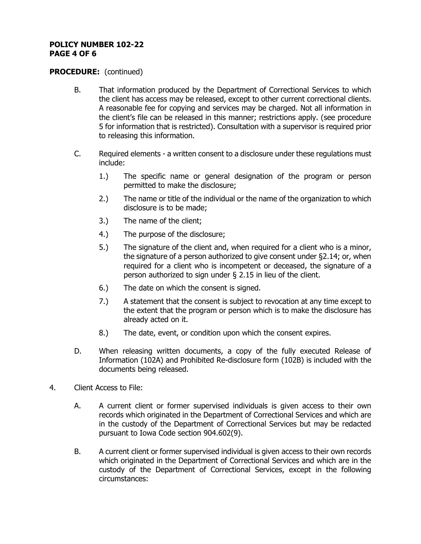#### **POLICY NUMBER 102-22 PAGE 4 OF 6**

- B. That information produced by the Department of Correctional Services to which the client has access may be released, except to other current correctional clients. A reasonable fee for copying and services may be charged. Not all information in the client's file can be released in this manner; restrictions apply. (see procedure 5 for information that is restricted). Consultation with a supervisor is required prior to releasing this information.
- C. Required elements a written consent to a disclosure under these regulations must include:
	- 1.) The specific name or general designation of the program or person permitted to make the disclosure;
	- 2.) The name or title of the individual or the name of the organization to which disclosure is to be made;
	- 3.) The name of the client;
	- 4.) The purpose of the disclosure;
	- 5.) The signature of the client and, when required for a client who is a minor, the signature of a person authorized to give consent under §2.14; or, when required for a client who is incompetent or deceased, the signature of a person authorized to sign under § 2.15 in lieu of the client.
	- 6.) The date on which the consent is signed.
	- 7.) A statement that the consent is subject to revocation at any time except to the extent that the program or person which is to make the disclosure has already acted on it.
	- 8.) The date, event, or condition upon which the consent expires.
- D. When releasing written documents, a copy of the fully executed Release of Information (102A) and Prohibited Re-disclosure form (102B) is included with the documents being released.
- 4. Client Access to File:
	- A. A current client or former supervised individuals is given access to their own records which originated in the Department of Correctional Services and which are in the custody of the Department of Correctional Services but may be redacted pursuant to Iowa Code section 904.602(9).
	- B. A current client or former supervised individual is given access to their own records which originated in the Department of Correctional Services and which are in the custody of the Department of Correctional Services, except in the following circumstances: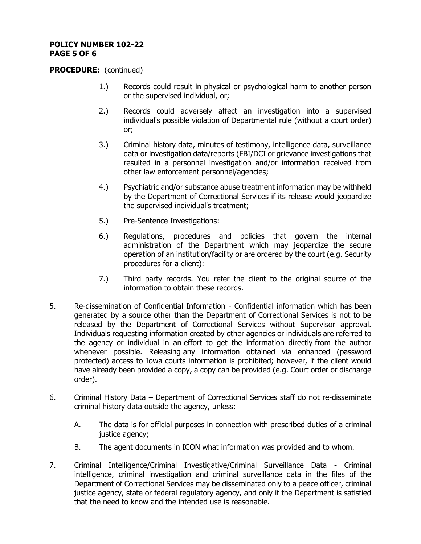#### **POLICY NUMBER 102-22 PAGE 5 OF 6**

- 1.) Records could result in physical or psychological harm to another person or the supervised individual, or;
- 2.) Records could adversely affect an investigation into a supervised individual's possible violation of Departmental rule (without a court order) or;
- 3.) Criminal history data, minutes of testimony, intelligence data, surveillance data or investigation data/reports (FBI/DCI or grievance investigations that resulted in a personnel investigation and/or information received from other law enforcement personnel/agencies;
- 4.) Psychiatric and/or substance abuse treatment information may be withheld by the Department of Correctional Services if its release would jeopardize the supervised individual's treatment;
- 5.) Pre-Sentence Investigations:
- 6.) Regulations, procedures and policies that govern the internal administration of the Department which may jeopardize the secure operation of an institution/facility or are ordered by the court (e.g. Security procedures for a client):
- 7.) Third party records. You refer the client to the original source of the information to obtain these records.
- 5. Re-dissemination of Confidential Information Confidential information which has been generated by a source other than the Department of Correctional Services is not to be released by the Department of Correctional Services without Supervisor approval. Individuals requesting information created by other agencies or individuals are referred to the agency or individual in an effort to get the information directly from the author whenever possible. Releasing any information obtained via enhanced (password protected) access to Iowa courts information is prohibited; however, if the client would have already been provided a copy, a copy can be provided (e.g. Court order or discharge order).
- 6. Criminal History Data Department of Correctional Services staff do not re-disseminate criminal history data outside the agency, unless:
	- A. The data is for official purposes in connection with prescribed duties of a criminal justice agency;
	- B. The agent documents in ICON what information was provided and to whom.
- 7. Criminal Intelligence/Criminal Investigative/Criminal Surveillance Data Criminal intelligence, criminal investigation and criminal surveillance data in the files of the Department of Correctional Services may be disseminated only to a peace officer, criminal justice agency, state or federal regulatory agency, and only if the Department is satisfied that the need to know and the intended use is reasonable.